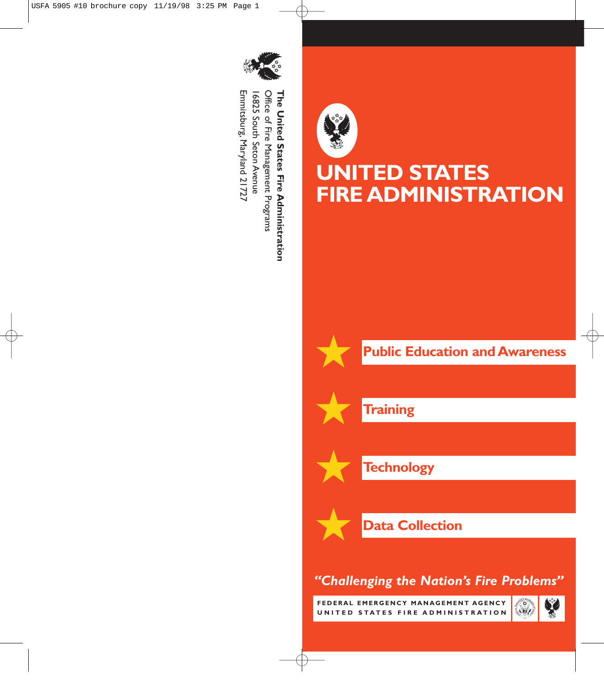

Emmitsburg, Maryland 21727 Emmitsburg,Office of Fire Management Programs Office of Fire Management Programs **The United States Fire Administration** 16825 South Seton Avenue 16825 South Seton Avenue The United States Fire Administration Maryland 21727



**Training**

★

★

★

★

**UNITED STATES**

**FIRE ADMINISTRATION**

**Technology**

**Data Collection** 

## *"Challenging the Nation's Fire Problems"*

**FEDERAL EMERGENCY MANAGEMENT AGENCY UNITED STATES FIRE ADMINISTRATION**

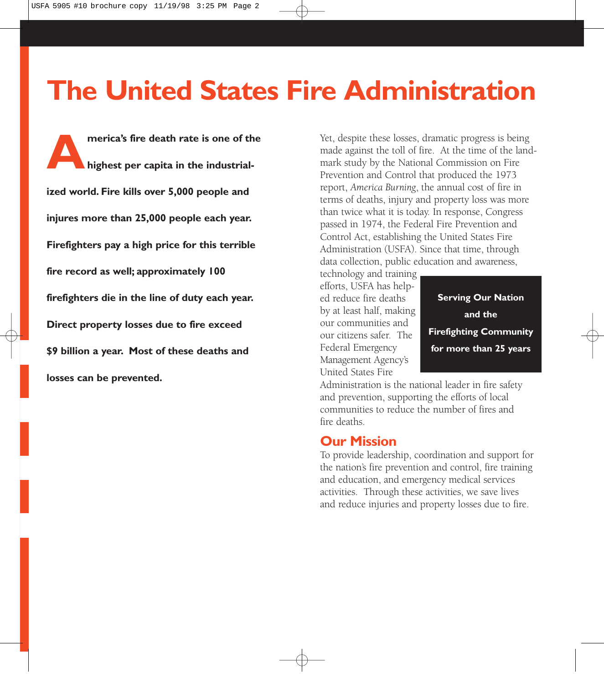# **The United States Fire Administration**

**A merica's fire death rate is one of the highest per capita in the industrialized world. Fire kills over 5,000 people and injures more than 25,000 people each year. Firefighters pay a high price for this terrible fire record as well; approximately 100 firefighters die in the line of duty each year. Direct property losses due to fire exceed \$9 billion a year. Most of these deaths and losses can be prevented.**

Yet, despite these losses, dramatic progress is being made against the toll of fire. At the time of the landmark study by the National Commission on Fire Prevention and Control that produced the 1973 report, *America Burning*, the annual cost of fire in terms of deaths, injury and property loss was more than twice what it is today. In response, Congress passed in 1974, the Federal Fire Prevention and Control Act, establishing the United States Fire Administration (USFA). Since that time, through data collection, public education and awareness,

technology and training efforts, USFA has helped reduce fire deaths by at least half, making our communities and our citizens safer. The Federal Emergency Management Agency's United States Fire

**Serving Our Nation and the Firefighting Community for more than 25 years**

Administration is the national leader in fire safety and prevention, supporting the efforts of local communities to reduce the number of fires and fire deaths.

#### **Our Mission**

To provide leadership, coordination and support for the nation's fire prevention and control, fire training and education, and emergency medical services activities. Through these activities, we save lives and reduce injuries and property losses due to fire.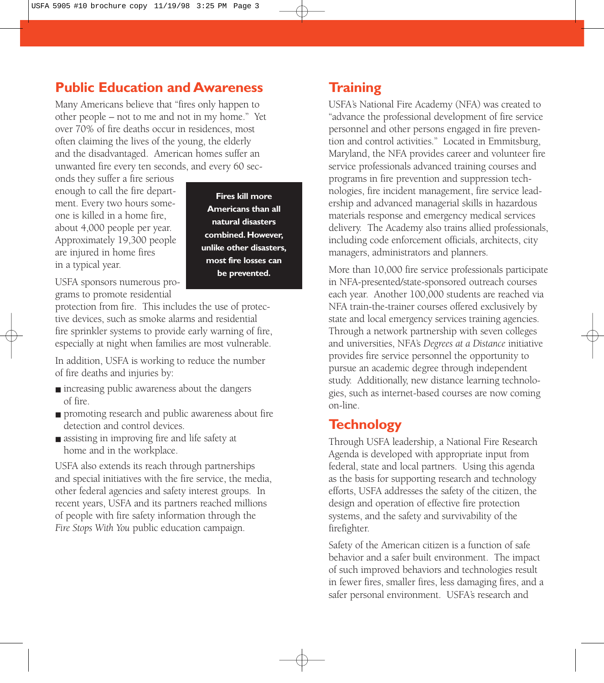## **Public Education and Awareness**

Many Americans believe that "fires only happen to other people – not to me and not in my home." Yet over 70% of fire deaths occur in residences, most often claiming the lives of the young, the elderly and the disadvantaged. American homes suffer an unwanted fire every ten seconds, and every 60 sec-

onds they suffer a fire serious enough to call the fire department. Every two hours someone is killed in a home fire, about 4,000 people per year. Approximately 19,300 people are injured in home fires in a typical year.

**Fires kill more Americans than all natural disasters combined. However, unlike other disasters, most fire losses can be prevented.**

USFA sponsors numerous programs to promote residential

protection from fire. This includes the use of protective devices, such as smoke alarms and residential fire sprinkler systems to provide early warning of fire, especially at night when families are most vulnerable.

In addition, USFA is working to reduce the number of fire deaths and injuries by:

- increasing public awareness about the dangers of fire.
- promoting research and public awareness about fire detection and control devices.
- assisting in improving fire and life safety at home and in the workplace.

USFA also extends its reach through partnerships and special initiatives with the fire service, the media, other federal agencies and safety interest groups. In recent years, USFA and its partners reached millions of people with fire safety information through the *Fire Stops With You* public education campaign.

## **Training**

USFA's National Fire Academy (NFA) was created to "advance the professional development of fire service personnel and other persons engaged in fire prevention and control activities." Located in Emmitsburg, Maryland, the NFA provides career and volunteer fire service professionals advanced training courses and programs in fire prevention and suppression technologies, fire incident management, fire service leadership and advanced managerial skills in hazardous materials response and emergency medical services delivery. The Academy also trains allied professionals, including code enforcement officials, architects, city managers, administrators and planners.

More than 10,000 fire service professionals participate in NFA-presented/state-sponsored outreach courses each year. Another 100,000 students are reached via NFA train-the-trainer courses offered exclusively by state and local emergency services training agencies. Through a network partnership with seven colleges and universities, NFA's *Degrees at a Distance* initiative provides fire service personnel the opportunity to pursue an academic degree through independent study. Additionally, new distance learning technologies, such as internet-based courses are now coming on-line.

## **Technology**

Through USFA leadership, a National Fire Research Agenda is developed with appropriate input from federal, state and local partners. Using this agenda as the basis for supporting research and technology efforts, USFA addresses the safety of the citizen, the design and operation of effective fire protection systems, and the safety and survivability of the firefighter.

Safety of the American citizen is a function of safe behavior and a safer built environment. The impact of such improved behaviors and technologies result in fewer fires, smaller fires, less damaging fires, and a safer personal environment. USFA's research and